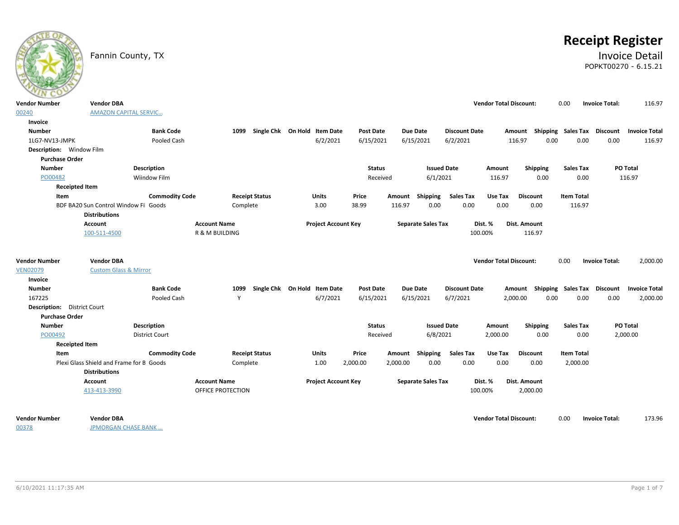# **Receipt Register**

# Fannin County, TX **Invoice Detail** POPKT00270 - 6.15.21

| $\sim$                                                    |                                                       |                       |                           |                              |                            |                  |          |                           |                      |                               |                                    |                   |                       |                      |
|-----------------------------------------------------------|-------------------------------------------------------|-----------------------|---------------------------|------------------------------|----------------------------|------------------|----------|---------------------------|----------------------|-------------------------------|------------------------------------|-------------------|-----------------------|----------------------|
| <b>Vendor Number</b>                                      | <b>Vendor DBA</b>                                     |                       |                           |                              |                            |                  |          |                           |                      | <b>Vendor Total Discount:</b> |                                    | 0.00              | <b>Invoice Total:</b> | 116.97               |
| 00240                                                     | <b>AMAZON CAPITAL SERVIC</b>                          |                       |                           |                              |                            |                  |          |                           |                      |                               |                                    |                   |                       |                      |
| <b>Invoice</b>                                            |                                                       |                       |                           |                              |                            |                  |          |                           |                      |                               |                                    |                   |                       |                      |
| <b>Number</b>                                             |                                                       | <b>Bank Code</b>      | 1099                      | Single Chk On Hold Item Date |                            | <b>Post Date</b> |          | <b>Due Date</b>           | <b>Discount Date</b> |                               | Amount Shipping Sales Tax Discount |                   |                       | <b>Invoice Total</b> |
| 1LG7-NV13-JMPK                                            |                                                       | Pooled Cash           |                           |                              | 6/2/2021                   | 6/15/2021        |          | 6/15/2021                 | 6/2/2021             |                               | 0.00<br>116.97                     | 0.00              | 0.00                  | 116.97               |
| Description: Window Film                                  |                                                       |                       |                           |                              |                            |                  |          |                           |                      |                               |                                    |                   |                       |                      |
| <b>Purchase Order</b>                                     |                                                       |                       |                           |                              |                            |                  |          |                           |                      |                               |                                    |                   |                       |                      |
| <b>Number</b>                                             |                                                       | <b>Description</b>    |                           |                              |                            | <b>Status</b>    |          | <b>Issued Date</b>        |                      | Amount                        | <b>Shipping</b>                    | <b>Sales Tax</b>  |                       | PO Total             |
| PO00482                                                   |                                                       | Wiindow Film          |                           |                              |                            | Received         |          | 6/1/2021                  |                      | 116.97                        | 0.00                               | 0.00              |                       | 116.97               |
| <b>Receipted Item</b>                                     |                                                       |                       |                           |                              |                            |                  |          |                           |                      |                               |                                    |                   |                       |                      |
| Item                                                      |                                                       | <b>Commodity Code</b> |                           | <b>Receipt Status</b>        | <b>Units</b>               | Price            |          | Amount Shipping           | <b>Sales Tax</b>     | Use Tax                       | <b>Discount</b>                    | <b>Item Total</b> |                       |                      |
|                                                           | BDF BA20 Sun Control Window Fil Goods                 |                       | Complete                  |                              | 3.00                       | 38.99            | 116.97   | 0.00                      | 0.00                 | 0.00                          | 0.00                               | 116.97            |                       |                      |
|                                                           | <b>Distributions</b>                                  |                       |                           |                              |                            |                  |          |                           |                      |                               |                                    |                   |                       |                      |
|                                                           | Account                                               |                       | <b>Account Name</b>       |                              | <b>Project Account Key</b> |                  |          | <b>Separate Sales Tax</b> |                      | Dist. %                       | Dist. Amount                       |                   |                       |                      |
|                                                           | 100-511-4500                                          |                       | <b>R &amp; M BUILDING</b> |                              |                            |                  |          |                           |                      | 100.00%                       | 116.97                             |                   |                       |                      |
| <b>Vendor Number</b><br><b>VEN02079</b><br><b>Invoice</b> | <b>Vendor DBA</b><br><b>Custom Glass &amp; Mirror</b> |                       |                           |                              |                            |                  |          |                           |                      | <b>Vendor Total Discount:</b> |                                    | 0.00              | <b>Invoice Total:</b> | 2,000.00             |
| <b>Number</b>                                             |                                                       | <b>Bank Code</b>      | 1099                      | Single Chk On Hold Item Date |                            | <b>Post Date</b> |          | <b>Due Date</b>           | <b>Discount Date</b> |                               | Amount Shipping Sales Tax Discount |                   |                       | <b>Invoice Total</b> |
| 167225                                                    |                                                       | Pooled Cash           | Y                         |                              | 6/7/2021                   | 6/15/2021        |          | 6/15/2021                 | 6/7/2021             |                               | 0.00<br>2,000.00                   | 0.00              | 0.00                  | 2,000.00             |
| Description: District Court                               |                                                       |                       |                           |                              |                            |                  |          |                           |                      |                               |                                    |                   |                       |                      |
| <b>Purchase Order</b>                                     |                                                       |                       |                           |                              |                            |                  |          |                           |                      |                               |                                    |                   |                       |                      |
| <b>Number</b>                                             |                                                       | <b>Description</b>    |                           |                              |                            | <b>Status</b>    |          | <b>Issued Date</b>        |                      | Amount                        | <b>Shipping</b>                    | <b>Sales Tax</b>  |                       | PO Total             |
| PO00492                                                   |                                                       | <b>District Court</b> |                           |                              |                            | Received         |          | 6/8/2021                  |                      | 2,000.00                      | 0.00                               | 0.00              |                       | 2,000.00             |
| <b>Receipted Item</b>                                     |                                                       |                       |                           |                              |                            |                  |          |                           |                      |                               |                                    |                   |                       |                      |
| Item                                                      |                                                       | <b>Commodity Code</b> |                           | <b>Receipt Status</b>        | Units                      | Price            | Amount   | Shipping                  | <b>Sales Tax</b>     | Use Tax                       | <b>Discount</b>                    | <b>Item Total</b> |                       |                      |
|                                                           | Plexi Glass Shield and Frame for B Goods              |                       | Complete                  |                              | 1.00                       | 2,000.00         | 2,000.00 | 0.00                      | 0.00                 | 0.00                          | 0.00                               | 2,000.00          |                       |                      |
|                                                           | <b>Distributions</b>                                  |                       |                           |                              |                            |                  |          |                           |                      |                               |                                    |                   |                       |                      |
|                                                           | Account                                               |                       | <b>Account Name</b>       |                              | <b>Project Account Key</b> |                  |          | <b>Separate Sales Tax</b> |                      | Dist. %                       | Dist. Amount                       |                   |                       |                      |
|                                                           | 413-413-3990                                          |                       | OFFICE PROTECTION         |                              |                            |                  |          |                           |                      | 100.00%                       | 2,000.00                           |                   |                       |                      |
|                                                           |                                                       |                       |                           |                              |                            |                  |          |                           |                      |                               |                                    |                   |                       |                      |
| <b>Vendor Number</b>                                      | <b>Vendor DBA</b>                                     |                       |                           |                              |                            |                  |          |                           |                      | <b>Vendor Total Discount:</b> |                                    | 0.00              | <b>Invoice Total:</b> | 173.96               |

00378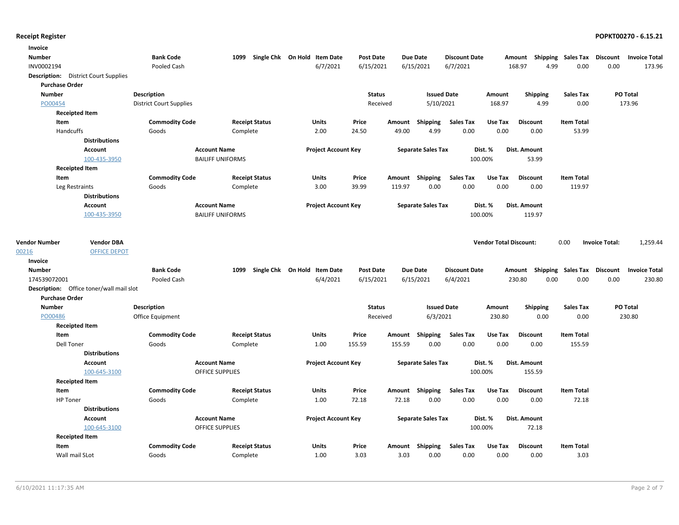| Invoice                                     |                      |                                |                         |                              |                            |                  |        |                           |                      |                               |                 |      |                                    |                       |                      |
|---------------------------------------------|----------------------|--------------------------------|-------------------------|------------------------------|----------------------------|------------------|--------|---------------------------|----------------------|-------------------------------|-----------------|------|------------------------------------|-----------------------|----------------------|
| <b>Number</b>                               |                      | <b>Bank Code</b>               | 1099                    | Single Chk On Hold Item Date |                            | Post Date        |        | <b>Due Date</b>           | <b>Discount Date</b> |                               |                 |      | Amount Shipping Sales Tax Discount |                       | <b>Invoice Total</b> |
| INV0002194                                  |                      | Pooled Cash                    |                         |                              | 6/7/2021                   | 6/15/2021        |        | 6/15/2021                 | 6/7/2021             |                               | 168.97          | 4.99 | 0.00                               | 0.00                  | 173.96               |
| <b>Description:</b> District Court Supplies |                      |                                |                         |                              |                            |                  |        |                           |                      |                               |                 |      |                                    |                       |                      |
| <b>Purchase Order</b>                       |                      |                                |                         |                              |                            |                  |        |                           |                      |                               |                 |      |                                    |                       |                      |
| <b>Number</b>                               |                      | <b>Description</b>             |                         |                              |                            | <b>Status</b>    |        | <b>Issued Date</b>        |                      | Amount                        | <b>Shipping</b> |      | <b>Sales Tax</b>                   |                       | PO Total             |
| PO00454                                     |                      | <b>District Court Supplies</b> |                         |                              |                            | Received         |        | 5/10/2021                 |                      | 168.97                        |                 | 4.99 | 0.00                               |                       | 173.96               |
| <b>Receipted Item</b>                       |                      |                                |                         |                              |                            |                  |        |                           |                      |                               |                 |      |                                    |                       |                      |
| Item                                        |                      | <b>Commodity Code</b>          |                         | <b>Receipt Status</b>        | Units                      | Price            |        | Amount Shipping           | Sales Tax            | Use Tax                       | <b>Discount</b> |      | <b>Item Total</b>                  |                       |                      |
| Handcuffs                                   |                      | Goods                          |                         | Complete                     | 2.00                       | 24.50            | 49.00  | 4.99                      | 0.00                 | 0.00                          | 0.00            |      | 53.99                              |                       |                      |
|                                             | <b>Distributions</b> |                                |                         |                              |                            |                  |        |                           |                      |                               |                 |      |                                    |                       |                      |
|                                             | <b>Account</b>       |                                | <b>Account Name</b>     |                              | <b>Project Account Key</b> |                  |        | <b>Separate Sales Tax</b> |                      | Dist. %                       | Dist. Amount    |      |                                    |                       |                      |
|                                             | 100-435-3950         |                                | <b>BAILIFF UNIFORMS</b> |                              |                            |                  |        |                           | 100.00%              |                               | 53.99           |      |                                    |                       |                      |
| <b>Receipted Item</b>                       |                      |                                |                         |                              |                            |                  |        |                           |                      |                               |                 |      |                                    |                       |                      |
| Item                                        |                      | <b>Commodity Code</b>          |                         | <b>Receipt Status</b>        | Units                      | Price            |        | Amount Shipping           | <b>Sales Tax</b>     | Use Tax                       | <b>Discount</b> |      | <b>Item Total</b>                  |                       |                      |
| Leg Restraints                              |                      | Goods                          |                         | Complete                     | 3.00                       | 39.99            | 119.97 | 0.00                      | 0.00                 | 0.00                          | 0.00            |      | 119.97                             |                       |                      |
|                                             | <b>Distributions</b> |                                |                         |                              |                            |                  |        |                           |                      |                               |                 |      |                                    |                       |                      |
|                                             | <b>Account</b>       |                                | <b>Account Name</b>     |                              | <b>Project Account Key</b> |                  |        | <b>Separate Sales Tax</b> |                      | Dist. %                       | Dist. Amount    |      |                                    |                       |                      |
|                                             | 100-435-3950         |                                | <b>BAILIFF UNIFORMS</b> |                              |                            |                  |        |                           | 100.00%              |                               | 119.97          |      |                                    |                       |                      |
| <b>Vendor Number</b>                        | <b>Vendor DBA</b>    |                                |                         |                              |                            |                  |        |                           |                      | <b>Vendor Total Discount:</b> |                 |      | 0.00                               | <b>Invoice Total:</b> | 1,259.44             |
| 00216                                       | <b>OFFICE DEPOT</b>  |                                |                         |                              |                            |                  |        |                           |                      |                               |                 |      |                                    |                       |                      |
| Invoice                                     |                      |                                |                         |                              |                            |                  |        |                           |                      |                               |                 |      |                                    |                       |                      |
| <b>Number</b>                               |                      | <b>Bank Code</b>               | 1099                    | Single Chk On Hold Item Date |                            | <b>Post Date</b> |        | <b>Due Date</b>           | <b>Discount Date</b> |                               |                 |      | Amount Shipping Sales Tax Discount |                       | <b>Invoice Total</b> |
| 174539072001                                |                      | Pooled Cash                    |                         |                              | 6/4/2021                   | 6/15/2021        |        | 6/15/2021                 | 6/4/2021             |                               | 230.80          | 0.00 | 0.00                               | 0.00                  | 230.80               |
| Description: Office toner/wall mail slot    |                      |                                |                         |                              |                            |                  |        |                           |                      |                               |                 |      |                                    |                       |                      |
| <b>Purchase Order</b>                       |                      |                                |                         |                              |                            |                  |        |                           |                      |                               |                 |      |                                    |                       |                      |
| <b>Number</b>                               |                      | <b>Description</b>             |                         |                              |                            | <b>Status</b>    |        | <b>Issued Date</b>        |                      | Amount                        | <b>Shipping</b> |      | Sales Tax                          |                       | PO Total             |
| PO00486                                     |                      | Office Equipment               |                         |                              |                            | Received         |        | 6/3/2021                  |                      | 230.80                        |                 | 0.00 | 0.00                               |                       | 230.80               |
| <b>Receipted Item</b>                       |                      |                                |                         |                              |                            |                  |        |                           |                      |                               |                 |      |                                    |                       |                      |
| Item                                        |                      | <b>Commodity Code</b>          |                         | <b>Receipt Status</b>        | <b>Units</b>               | Price            | Amount | <b>Shipping</b>           | <b>Sales Tax</b>     | Use Tax                       | <b>Discount</b> |      | <b>Item Total</b>                  |                       |                      |
| <b>Dell Toner</b>                           |                      | Goods                          |                         | Complete                     | 1.00                       | 155.59           | 155.59 | 0.00                      | 0.00                 | 0.00                          | 0.00            |      | 155.59                             |                       |                      |
|                                             | <b>Distributions</b> |                                |                         |                              |                            |                  |        |                           |                      |                               |                 |      |                                    |                       |                      |
|                                             | <b>Account</b>       |                                | <b>Account Name</b>     |                              | <b>Project Account Key</b> |                  |        | <b>Separate Sales Tax</b> |                      | Dist. %                       | Dist. Amount    |      |                                    |                       |                      |
|                                             | 100-645-3100         |                                | <b>OFFICE SUPPLIES</b>  |                              |                            |                  |        |                           | 100.00%              |                               | 155.59          |      |                                    |                       |                      |
| <b>Receipted Item</b>                       |                      |                                |                         |                              |                            |                  |        |                           |                      |                               |                 |      |                                    |                       |                      |
| Item                                        |                      | <b>Commodity Code</b>          |                         | <b>Receipt Status</b>        | Units                      | Price            |        | Amount Shipping           | <b>Sales Tax</b>     | Use Tax                       | <b>Discount</b> |      | <b>Item Total</b>                  |                       |                      |
| <b>HP</b> Toner                             |                      | Goods                          |                         | Complete                     | 1.00                       | 72.18            | 72.18  | 0.00                      | 0.00                 | 0.00                          | 0.00            |      | 72.18                              |                       |                      |
|                                             | <b>Distributions</b> |                                |                         |                              |                            |                  |        |                           |                      |                               |                 |      |                                    |                       |                      |
|                                             | <b>Account</b>       |                                | <b>Account Name</b>     |                              | <b>Project Account Key</b> |                  |        | <b>Separate Sales Tax</b> |                      | Dist. %                       | Dist. Amount    |      |                                    |                       |                      |
|                                             | 100-645-3100         |                                | <b>OFFICE SUPPLIES</b>  |                              |                            |                  |        |                           | 100.00%              |                               | 72.18           |      |                                    |                       |                      |
| <b>Receipted Item</b>                       |                      |                                |                         |                              |                            |                  |        |                           |                      |                               |                 |      |                                    |                       |                      |
| Item                                        |                      | <b>Commodity Code</b>          |                         | <b>Receipt Status</b>        | Units                      | Price            |        | Amount Shipping           | Sales Tax            | Use Tax                       | <b>Discount</b> |      | <b>Item Total</b>                  |                       |                      |
| Wall mail SLot                              |                      | Goods                          |                         | Complete                     | 1.00                       | 3.03             | 3.03   | 0.00                      | 0.00                 | 0.00                          | 0.00            |      | 3.03                               |                       |                      |
|                                             |                      |                                |                         |                              |                            |                  |        |                           |                      |                               |                 |      |                                    |                       |                      |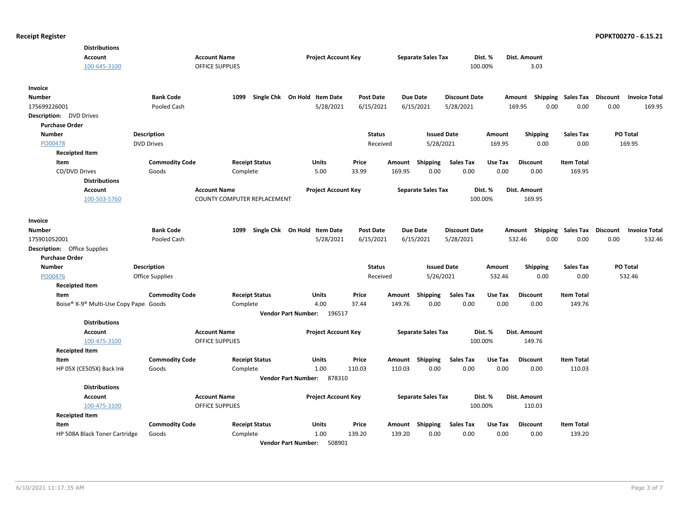| 100-645-3100 |                                                                                                                                                                                                                                                                                                                                                                                                                                                                                                                                   |                                                                                                                                                                                                                                  |                                                                                                                                                                                                                                                                                       |                                                                                                                                                                                                                                                        |                                                                                                                                                                                                            |                                                                                  |                                                                                                                                 |                                                                                                                                                                                                                                                                            | 3.03                                                                                                                                                                                                    |                                                                                                                                                                                                                   |                                                                                                                                         |                                    |
|--------------|-----------------------------------------------------------------------------------------------------------------------------------------------------------------------------------------------------------------------------------------------------------------------------------------------------------------------------------------------------------------------------------------------------------------------------------------------------------------------------------------------------------------------------------|----------------------------------------------------------------------------------------------------------------------------------------------------------------------------------------------------------------------------------|---------------------------------------------------------------------------------------------------------------------------------------------------------------------------------------------------------------------------------------------------------------------------------------|--------------------------------------------------------------------------------------------------------------------------------------------------------------------------------------------------------------------------------------------------------|------------------------------------------------------------------------------------------------------------------------------------------------------------------------------------------------------------|----------------------------------------------------------------------------------|---------------------------------------------------------------------------------------------------------------------------------|----------------------------------------------------------------------------------------------------------------------------------------------------------------------------------------------------------------------------------------------------------------------------|---------------------------------------------------------------------------------------------------------------------------------------------------------------------------------------------------------|-------------------------------------------------------------------------------------------------------------------------------------------------------------------------------------------------------------------|-----------------------------------------------------------------------------------------------------------------------------------------|------------------------------------|
|              |                                                                                                                                                                                                                                                                                                                                                                                                                                                                                                                                   |                                                                                                                                                                                                                                  |                                                                                                                                                                                                                                                                                       |                                                                                                                                                                                                                                                        |                                                                                                                                                                                                            |                                                                                  |                                                                                                                                 |                                                                                                                                                                                                                                                                            |                                                                                                                                                                                                         |                                                                                                                                                                                                                   |                                                                                                                                         |                                    |
|              | <b>Bank Code</b>                                                                                                                                                                                                                                                                                                                                                                                                                                                                                                                  | 1099                                                                                                                                                                                                                             |                                                                                                                                                                                                                                                                                       | <b>Post Date</b>                                                                                                                                                                                                                                       |                                                                                                                                                                                                            |                                                                                  |                                                                                                                                 |                                                                                                                                                                                                                                                                            |                                                                                                                                                                                                         |                                                                                                                                                                                                                   |                                                                                                                                         | <b>Invoice Total</b>               |
|              | Pooled Cash                                                                                                                                                                                                                                                                                                                                                                                                                                                                                                                       |                                                                                                                                                                                                                                  | 5/28/2021                                                                                                                                                                                                                                                                             | 6/15/2021                                                                                                                                                                                                                                              |                                                                                                                                                                                                            |                                                                                  | 5/28/2021                                                                                                                       |                                                                                                                                                                                                                                                                            |                                                                                                                                                                                                         | 0.00                                                                                                                                                                                                              | 0.00                                                                                                                                    | 169.95                             |
|              |                                                                                                                                                                                                                                                                                                                                                                                                                                                                                                                                   |                                                                                                                                                                                                                                  |                                                                                                                                                                                                                                                                                       |                                                                                                                                                                                                                                                        |                                                                                                                                                                                                            |                                                                                  |                                                                                                                                 |                                                                                                                                                                                                                                                                            |                                                                                                                                                                                                         |                                                                                                                                                                                                                   |                                                                                                                                         |                                    |
|              |                                                                                                                                                                                                                                                                                                                                                                                                                                                                                                                                   |                                                                                                                                                                                                                                  |                                                                                                                                                                                                                                                                                       |                                                                                                                                                                                                                                                        |                                                                                                                                                                                                            |                                                                                  |                                                                                                                                 |                                                                                                                                                                                                                                                                            |                                                                                                                                                                                                         |                                                                                                                                                                                                                   |                                                                                                                                         |                                    |
|              |                                                                                                                                                                                                                                                                                                                                                                                                                                                                                                                                   |                                                                                                                                                                                                                                  |                                                                                                                                                                                                                                                                                       | <b>Status</b>                                                                                                                                                                                                                                          |                                                                                                                                                                                                            |                                                                                  |                                                                                                                                 | Amount                                                                                                                                                                                                                                                                     | <b>Shipping</b>                                                                                                                                                                                         | <b>Sales Tax</b>                                                                                                                                                                                                  | PO Total                                                                                                                                |                                    |
|              |                                                                                                                                                                                                                                                                                                                                                                                                                                                                                                                                   |                                                                                                                                                                                                                                  |                                                                                                                                                                                                                                                                                       |                                                                                                                                                                                                                                                        |                                                                                                                                                                                                            |                                                                                  |                                                                                                                                 |                                                                                                                                                                                                                                                                            |                                                                                                                                                                                                         |                                                                                                                                                                                                                   |                                                                                                                                         | 169.95                             |
|              |                                                                                                                                                                                                                                                                                                                                                                                                                                                                                                                                   |                                                                                                                                                                                                                                  |                                                                                                                                                                                                                                                                                       |                                                                                                                                                                                                                                                        |                                                                                                                                                                                                            |                                                                                  |                                                                                                                                 |                                                                                                                                                                                                                                                                            |                                                                                                                                                                                                         |                                                                                                                                                                                                                   |                                                                                                                                         |                                    |
|              |                                                                                                                                                                                                                                                                                                                                                                                                                                                                                                                                   |                                                                                                                                                                                                                                  |                                                                                                                                                                                                                                                                                       |                                                                                                                                                                                                                                                        |                                                                                                                                                                                                            |                                                                                  |                                                                                                                                 |                                                                                                                                                                                                                                                                            |                                                                                                                                                                                                         |                                                                                                                                                                                                                   |                                                                                                                                         |                                    |
|              |                                                                                                                                                                                                                                                                                                                                                                                                                                                                                                                                   |                                                                                                                                                                                                                                  |                                                                                                                                                                                                                                                                                       |                                                                                                                                                                                                                                                        |                                                                                                                                                                                                            |                                                                                  |                                                                                                                                 |                                                                                                                                                                                                                                                                            |                                                                                                                                                                                                         |                                                                                                                                                                                                                   |                                                                                                                                         |                                    |
|              |                                                                                                                                                                                                                                                                                                                                                                                                                                                                                                                                   |                                                                                                                                                                                                                                  |                                                                                                                                                                                                                                                                                       |                                                                                                                                                                                                                                                        |                                                                                                                                                                                                            |                                                                                  |                                                                                                                                 |                                                                                                                                                                                                                                                                            |                                                                                                                                                                                                         |                                                                                                                                                                                                                   |                                                                                                                                         |                                    |
|              |                                                                                                                                                                                                                                                                                                                                                                                                                                                                                                                                   |                                                                                                                                                                                                                                  |                                                                                                                                                                                                                                                                                       |                                                                                                                                                                                                                                                        |                                                                                                                                                                                                            |                                                                                  |                                                                                                                                 |                                                                                                                                                                                                                                                                            |                                                                                                                                                                                                         |                                                                                                                                                                                                                   |                                                                                                                                         |                                    |
|              |                                                                                                                                                                                                                                                                                                                                                                                                                                                                                                                                   |                                                                                                                                                                                                                                  |                                                                                                                                                                                                                                                                                       |                                                                                                                                                                                                                                                        |                                                                                                                                                                                                            |                                                                                  |                                                                                                                                 |                                                                                                                                                                                                                                                                            |                                                                                                                                                                                                         |                                                                                                                                                                                                                   |                                                                                                                                         |                                    |
|              |                                                                                                                                                                                                                                                                                                                                                                                                                                                                                                                                   |                                                                                                                                                                                                                                  |                                                                                                                                                                                                                                                                                       |                                                                                                                                                                                                                                                        |                                                                                                                                                                                                            |                                                                                  |                                                                                                                                 |                                                                                                                                                                                                                                                                            |                                                                                                                                                                                                         |                                                                                                                                                                                                                   |                                                                                                                                         |                                    |
|              | <b>Bank Code</b>                                                                                                                                                                                                                                                                                                                                                                                                                                                                                                                  | 1099                                                                                                                                                                                                                             |                                                                                                                                                                                                                                                                                       | <b>Post Date</b>                                                                                                                                                                                                                                       |                                                                                                                                                                                                            |                                                                                  |                                                                                                                                 |                                                                                                                                                                                                                                                                            |                                                                                                                                                                                                         |                                                                                                                                                                                                                   | <b>Discount</b>                                                                                                                         | <b>Invoice Total</b>               |
|              | Pooled Cash                                                                                                                                                                                                                                                                                                                                                                                                                                                                                                                       |                                                                                                                                                                                                                                  | 5/28/2021                                                                                                                                                                                                                                                                             | 6/15/2021                                                                                                                                                                                                                                              |                                                                                                                                                                                                            |                                                                                  | 5/28/2021                                                                                                                       |                                                                                                                                                                                                                                                                            |                                                                                                                                                                                                         | 0.00                                                                                                                                                                                                              | 0.00                                                                                                                                    | 532.46                             |
|              |                                                                                                                                                                                                                                                                                                                                                                                                                                                                                                                                   |                                                                                                                                                                                                                                  |                                                                                                                                                                                                                                                                                       |                                                                                                                                                                                                                                                        |                                                                                                                                                                                                            |                                                                                  |                                                                                                                                 |                                                                                                                                                                                                                                                                            |                                                                                                                                                                                                         |                                                                                                                                                                                                                   |                                                                                                                                         |                                    |
|              |                                                                                                                                                                                                                                                                                                                                                                                                                                                                                                                                   |                                                                                                                                                                                                                                  |                                                                                                                                                                                                                                                                                       |                                                                                                                                                                                                                                                        |                                                                                                                                                                                                            |                                                                                  |                                                                                                                                 |                                                                                                                                                                                                                                                                            |                                                                                                                                                                                                         |                                                                                                                                                                                                                   |                                                                                                                                         |                                    |
|              |                                                                                                                                                                                                                                                                                                                                                                                                                                                                                                                                   |                                                                                                                                                                                                                                  |                                                                                                                                                                                                                                                                                       | <b>Status</b>                                                                                                                                                                                                                                          |                                                                                                                                                                                                            |                                                                                  |                                                                                                                                 | Amount                                                                                                                                                                                                                                                                     | <b>Shipping</b>                                                                                                                                                                                         | <b>Sales Tax</b>                                                                                                                                                                                                  | PO Total                                                                                                                                |                                    |
|              |                                                                                                                                                                                                                                                                                                                                                                                                                                                                                                                                   |                                                                                                                                                                                                                                  |                                                                                                                                                                                                                                                                                       |                                                                                                                                                                                                                                                        |                                                                                                                                                                                                            |                                                                                  |                                                                                                                                 | 532.46                                                                                                                                                                                                                                                                     | 0.00                                                                                                                                                                                                    | 0.00                                                                                                                                                                                                              |                                                                                                                                         | 532.46                             |
|              |                                                                                                                                                                                                                                                                                                                                                                                                                                                                                                                                   |                                                                                                                                                                                                                                  |                                                                                                                                                                                                                                                                                       |                                                                                                                                                                                                                                                        |                                                                                                                                                                                                            |                                                                                  |                                                                                                                                 |                                                                                                                                                                                                                                                                            |                                                                                                                                                                                                         |                                                                                                                                                                                                                   |                                                                                                                                         |                                    |
|              | <b>Commodity Code</b>                                                                                                                                                                                                                                                                                                                                                                                                                                                                                                             | <b>Receipt Status</b>                                                                                                                                                                                                            | <b>Units</b>                                                                                                                                                                                                                                                                          | Price                                                                                                                                                                                                                                                  |                                                                                                                                                                                                            | Shipping                                                                         | <b>Sales Tax</b>                                                                                                                | Use Tax                                                                                                                                                                                                                                                                    | <b>Discount</b>                                                                                                                                                                                         | <b>Item Total</b>                                                                                                                                                                                                 |                                                                                                                                         |                                    |
|              |                                                                                                                                                                                                                                                                                                                                                                                                                                                                                                                                   | Complete                                                                                                                                                                                                                         | 4.00                                                                                                                                                                                                                                                                                  | 37.44                                                                                                                                                                                                                                                  | 149.76                                                                                                                                                                                                     | 0.00                                                                             | 0.00                                                                                                                            | 0.00                                                                                                                                                                                                                                                                       | 0.00                                                                                                                                                                                                    | 149.76                                                                                                                                                                                                            |                                                                                                                                         |                                    |
|              |                                                                                                                                                                                                                                                                                                                                                                                                                                                                                                                                   |                                                                                                                                                                                                                                  |                                                                                                                                                                                                                                                                                       |                                                                                                                                                                                                                                                        |                                                                                                                                                                                                            |                                                                                  |                                                                                                                                 |                                                                                                                                                                                                                                                                            |                                                                                                                                                                                                         |                                                                                                                                                                                                                   |                                                                                                                                         |                                    |
|              |                                                                                                                                                                                                                                                                                                                                                                                                                                                                                                                                   |                                                                                                                                                                                                                                  |                                                                                                                                                                                                                                                                                       |                                                                                                                                                                                                                                                        |                                                                                                                                                                                                            |                                                                                  |                                                                                                                                 |                                                                                                                                                                                                                                                                            |                                                                                                                                                                                                         |                                                                                                                                                                                                                   |                                                                                                                                         |                                    |
|              |                                                                                                                                                                                                                                                                                                                                                                                                                                                                                                                                   |                                                                                                                                                                                                                                  |                                                                                                                                                                                                                                                                                       |                                                                                                                                                                                                                                                        |                                                                                                                                                                                                            |                                                                                  |                                                                                                                                 |                                                                                                                                                                                                                                                                            |                                                                                                                                                                                                         |                                                                                                                                                                                                                   |                                                                                                                                         |                                    |
|              |                                                                                                                                                                                                                                                                                                                                                                                                                                                                                                                                   |                                                                                                                                                                                                                                  |                                                                                                                                                                                                                                                                                       |                                                                                                                                                                                                                                                        |                                                                                                                                                                                                            |                                                                                  |                                                                                                                                 |                                                                                                                                                                                                                                                                            |                                                                                                                                                                                                         |                                                                                                                                                                                                                   |                                                                                                                                         |                                    |
|              |                                                                                                                                                                                                                                                                                                                                                                                                                                                                                                                                   |                                                                                                                                                                                                                                  |                                                                                                                                                                                                                                                                                       |                                                                                                                                                                                                                                                        |                                                                                                                                                                                                            |                                                                                  |                                                                                                                                 |                                                                                                                                                                                                                                                                            |                                                                                                                                                                                                         |                                                                                                                                                                                                                   |                                                                                                                                         |                                    |
|              |                                                                                                                                                                                                                                                                                                                                                                                                                                                                                                                                   |                                                                                                                                                                                                                                  |                                                                                                                                                                                                                                                                                       |                                                                                                                                                                                                                                                        |                                                                                                                                                                                                            |                                                                                  |                                                                                                                                 |                                                                                                                                                                                                                                                                            |                                                                                                                                                                                                         |                                                                                                                                                                                                                   |                                                                                                                                         |                                    |
|              |                                                                                                                                                                                                                                                                                                                                                                                                                                                                                                                                   |                                                                                                                                                                                                                                  |                                                                                                                                                                                                                                                                                       |                                                                                                                                                                                                                                                        |                                                                                                                                                                                                            |                                                                                  |                                                                                                                                 |                                                                                                                                                                                                                                                                            |                                                                                                                                                                                                         |                                                                                                                                                                                                                   |                                                                                                                                         |                                    |
|              |                                                                                                                                                                                                                                                                                                                                                                                                                                                                                                                                   |                                                                                                                                                                                                                                  |                                                                                                                                                                                                                                                                                       |                                                                                                                                                                                                                                                        |                                                                                                                                                                                                            |                                                                                  |                                                                                                                                 |                                                                                                                                                                                                                                                                            |                                                                                                                                                                                                         |                                                                                                                                                                                                                   |                                                                                                                                         |                                    |
|              |                                                                                                                                                                                                                                                                                                                                                                                                                                                                                                                                   |                                                                                                                                                                                                                                  |                                                                                                                                                                                                                                                                                       |                                                                                                                                                                                                                                                        |                                                                                                                                                                                                            |                                                                                  |                                                                                                                                 |                                                                                                                                                                                                                                                                            |                                                                                                                                                                                                         |                                                                                                                                                                                                                   |                                                                                                                                         |                                    |
|              |                                                                                                                                                                                                                                                                                                                                                                                                                                                                                                                                   |                                                                                                                                                                                                                                  |                                                                                                                                                                                                                                                                                       |                                                                                                                                                                                                                                                        |                                                                                                                                                                                                            |                                                                                  |                                                                                                                                 |                                                                                                                                                                                                                                                                            |                                                                                                                                                                                                         |                                                                                                                                                                                                                   |                                                                                                                                         |                                    |
|              |                                                                                                                                                                                                                                                                                                                                                                                                                                                                                                                                   |                                                                                                                                                                                                                                  |                                                                                                                                                                                                                                                                                       |                                                                                                                                                                                                                                                        |                                                                                                                                                                                                            |                                                                                  |                                                                                                                                 |                                                                                                                                                                                                                                                                            |                                                                                                                                                                                                         |                                                                                                                                                                                                                   |                                                                                                                                         |                                    |
|              |                                                                                                                                                                                                                                                                                                                                                                                                                                                                                                                                   |                                                                                                                                                                                                                                  |                                                                                                                                                                                                                                                                                       |                                                                                                                                                                                                                                                        |                                                                                                                                                                                                            |                                                                                  |                                                                                                                                 |                                                                                                                                                                                                                                                                            |                                                                                                                                                                                                         |                                                                                                                                                                                                                   |                                                                                                                                         |                                    |
|              |                                                                                                                                                                                                                                                                                                                                                                                                                                                                                                                                   |                                                                                                                                                                                                                                  |                                                                                                                                                                                                                                                                                       |                                                                                                                                                                                                                                                        |                                                                                                                                                                                                            |                                                                                  |                                                                                                                                 |                                                                                                                                                                                                                                                                            |                                                                                                                                                                                                         |                                                                                                                                                                                                                   |                                                                                                                                         |                                    |
|              |                                                                                                                                                                                                                                                                                                                                                                                                                                                                                                                                   |                                                                                                                                                                                                                                  |                                                                                                                                                                                                                                                                                       |                                                                                                                                                                                                                                                        |                                                                                                                                                                                                            |                                                                                  |                                                                                                                                 |                                                                                                                                                                                                                                                                            |                                                                                                                                                                                                         |                                                                                                                                                                                                                   |                                                                                                                                         |                                    |
|              | <b>Distributions</b><br><b>Account</b><br><b>Description:</b> DVD Drives<br><b>Purchase Order</b><br><b>Receipted Item</b><br>CD/DVD Drives<br><b>Distributions</b><br><b>Account</b><br>100-503-5760<br><b>Description:</b> Office Supplies<br><b>Purchase Order</b><br><b>Receipted Item</b><br><b>Distributions</b><br><b>Account</b><br>100-475-3100<br><b>Receipted Item</b><br>HP 05X (CE505X) Back Ink<br><b>Distributions</b><br><b>Account</b><br>100-475-3100<br><b>Receipted Item</b><br>HP 508A Black Toner Cartridge | <b>Description</b><br><b>DVD Drives</b><br><b>Commodity Code</b><br>Goods<br><b>Description</b><br>Office Supplies<br>Boise® X-9® Multi-Use Copy Pape: Goods<br><b>Commodity Code</b><br>Goods<br><b>Commodity Code</b><br>Goods | <b>Account Name</b><br><b>OFFICE SUPPLIES</b><br><b>Receipt Status</b><br>Complete<br><b>Account Name</b><br><b>Account Name</b><br><b>OFFICE SUPPLIES</b><br><b>Receipt Status</b><br>Complete<br><b>Account Name</b><br><b>OFFICE SUPPLIES</b><br><b>Receipt Status</b><br>Complete | Single Chk On Hold Item Date<br><b>Units</b><br>5.00<br><b>COUNTY COMPUTER REPLACEMENT</b><br>Single Chk On Hold Item Date<br><b>Vendor Part Number:</b><br>Units<br>1.00<br><b>Vendor Part Number:</b><br>Units<br>1.00<br><b>Vendor Part Number:</b> | <b>Project Account Key</b><br>Price<br>33.99<br><b>Project Account Key</b><br>196517<br><b>Project Account Key</b><br>Price<br>110.03<br>878310<br><b>Project Account Key</b><br>Price<br>139.20<br>508901 | Received<br>Amount<br>169.95<br>Received<br>Amount<br>Amount<br>110.03<br>139.20 | <b>Due Date</b><br>6/15/2021<br>Shipping<br>0.00<br><b>Due Date</b><br>6/15/2021<br>Shipping<br>0.00<br>Amount Shipping<br>0.00 | <b>Separate Sales Tax</b><br><b>Issued Date</b><br>5/28/2021<br><b>Sales Tax</b><br>0.00<br><b>Separate Sales Tax</b><br><b>Issued Date</b><br>5/26/2021<br><b>Separate Sales Tax</b><br><b>Sales Tax</b><br>0.00<br><b>Separate Sales Tax</b><br><b>Sales Tax</b><br>0.00 | Dist. %<br>100.00%<br><b>Discount Date</b><br>169.95<br>Use Tax<br>0.00<br>Dist. %<br>100.00%<br><b>Discount Date</b><br>Dist. %<br>100.00%<br>Use Tax<br>0.00<br>Dist. %<br>100.00%<br>Use Tax<br>0.00 | Dist. Amount<br>169.95<br>0.00<br><b>Discount</b><br>0.00<br>Dist. Amount<br>169.95<br>Amount<br>532.46<br>Dist. Amount<br>149.76<br><b>Discount</b><br>0.00<br>Dist. Amount<br>110.03<br><b>Discount</b><br>0.00 | 0.00<br>0.00<br><b>Item Total</b><br>169.95<br>Shipping Sales Tax<br>0.00<br><b>Item Total</b><br>110.03<br><b>Item Total</b><br>139.20 | Amount Shipping Sales Tax Discount |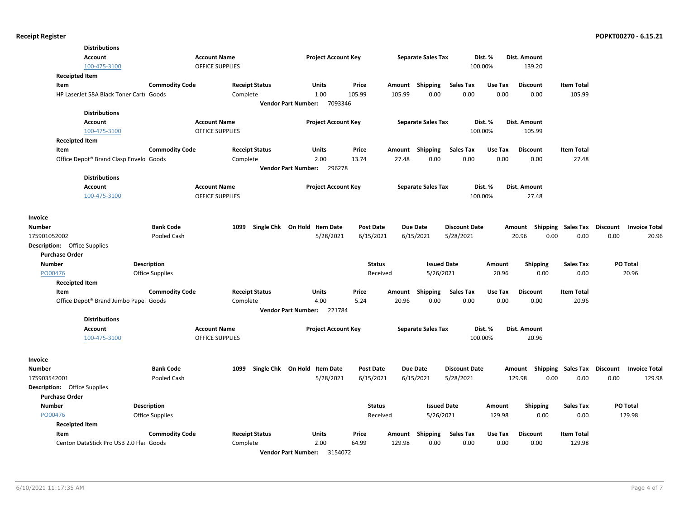| <b>Distributions</b>                    |                        |                                    |                                       |                  |        |                           |                      |         |                           |                   |                                  |        |
|-----------------------------------------|------------------------|------------------------------------|---------------------------------------|------------------|--------|---------------------------|----------------------|---------|---------------------------|-------------------|----------------------------------|--------|
| Account                                 |                        | <b>Account Name</b>                | <b>Project Account Key</b>            |                  |        | <b>Separate Sales Tax</b> |                      | Dist. % | Dist. Amount              |                   |                                  |        |
| 100-475-3100                            |                        | <b>OFFICE SUPPLIES</b>             |                                       |                  |        |                           |                      | 100.00% | 139.20                    |                   |                                  |        |
| <b>Receipted Item</b>                   |                        |                                    |                                       |                  |        |                           |                      |         |                           |                   |                                  |        |
| Item                                    | <b>Commodity Code</b>  | <b>Receipt Status</b>              | Units                                 | Price            | Amount | Shipping                  | <b>Sales Tax</b>     | Use Tax | <b>Discount</b>           | <b>Item Total</b> |                                  |        |
| HP LaserJet 58A Black Toner Cartr Goods |                        | Complete                           | 1.00                                  | 105.99           | 105.99 | 0.00                      | 0.00                 | 0.00    | 0.00                      | 105.99            |                                  |        |
|                                         |                        |                                    | 7093346<br><b>Vendor Part Number:</b> |                  |        |                           |                      |         |                           |                   |                                  |        |
| <b>Distributions</b>                    |                        |                                    |                                       |                  |        |                           |                      |         |                           |                   |                                  |        |
| Account                                 |                        | <b>Account Name</b>                | <b>Project Account Key</b>            |                  |        | <b>Separate Sales Tax</b> |                      | Dist. % | Dist. Amount              |                   |                                  |        |
| 100-475-3100                            |                        | OFFICE SUPPLIES                    |                                       |                  |        |                           |                      | 100.00% | 105.99                    |                   |                                  |        |
| <b>Receipted Item</b>                   |                        |                                    |                                       |                  |        |                           |                      |         |                           |                   |                                  |        |
| Item                                    | <b>Commodity Code</b>  | <b>Receipt Status</b>              | Units                                 | Price            |        | Amount Shipping           | <b>Sales Tax</b>     | Use Tax | <b>Discount</b>           | <b>Item Total</b> |                                  |        |
| Office Depot® Brand Clasp Envelo Goods  |                        | Complete                           | 2.00                                  | 13.74            | 27.48  | 0.00                      | 0.00                 | 0.00    | 0.00                      | 27.48             |                                  |        |
|                                         |                        |                                    | <b>Vendor Part Number:</b><br>296278  |                  |        |                           |                      |         |                           |                   |                                  |        |
| <b>Distributions</b>                    |                        |                                    |                                       |                  |        |                           |                      |         |                           |                   |                                  |        |
| Account                                 |                        | <b>Account Name</b>                | <b>Project Account Key</b>            |                  |        | <b>Separate Sales Tax</b> |                      | Dist. % | Dist. Amount              |                   |                                  |        |
| 100-475-3100                            |                        | <b>OFFICE SUPPLIES</b>             |                                       |                  |        |                           |                      | 100.00% | 27.48                     |                   |                                  |        |
|                                         |                        |                                    |                                       |                  |        |                           |                      |         |                           |                   |                                  |        |
| Invoice                                 |                        |                                    |                                       |                  |        |                           |                      |         |                           |                   |                                  |        |
| <b>Number</b>                           | <b>Bank Code</b>       | 1099                               | Single Chk On Hold Item Date          | <b>Post Date</b> |        | <b>Due Date</b>           | <b>Discount Date</b> |         | Amount Shipping Sales Tax |                   | Discount<br><b>Invoice Total</b> |        |
| 175901052002                            | Pooled Cash            |                                    | 5/28/2021                             | 6/15/2021        |        | 6/15/2021                 | 5/28/2021            |         | 20.96<br>0.00             | 0.00              | 0.00                             | 20.96  |
| <b>Description:</b> Office Supplies     |                        |                                    |                                       |                  |        |                           |                      |         |                           |                   |                                  |        |
| <b>Purchase Order</b>                   |                        |                                    |                                       |                  |        |                           |                      |         |                           |                   |                                  |        |
| <b>Number</b>                           | <b>Description</b>     |                                    |                                       | <b>Status</b>    |        | <b>Issued Date</b>        |                      | Amount  | <b>Shipping</b>           | Sales Tax         | PO Total                         |        |
| PO00476                                 | <b>Office Supplies</b> |                                    |                                       | Received         |        | 5/26/2021                 |                      | 20.96   | 0.00                      | 0.00              | 20.96                            |        |
| <b>Receipted Item</b>                   |                        |                                    |                                       |                  |        |                           |                      |         |                           |                   |                                  |        |
| Item                                    | <b>Commodity Code</b>  | <b>Receipt Status</b>              | Units                                 | Price            | Amount | Shipping                  | <b>Sales Tax</b>     | Use Tax | <b>Discount</b>           | <b>Item Total</b> |                                  |        |
| Office Depot® Brand Jumbo Paper Goods   |                        | Complete                           | 4.00                                  | 5.24             | 20.96  | 0.00                      | 0.00                 | 0.00    | 0.00                      | 20.96             |                                  |        |
|                                         |                        |                                    | <b>Vendor Part Number:</b><br>221784  |                  |        |                           |                      |         |                           |                   |                                  |        |
| <b>Distributions</b>                    |                        |                                    |                                       |                  |        |                           |                      |         |                           |                   |                                  |        |
| <b>Account</b>                          |                        | <b>Account Name</b>                | <b>Project Account Key</b>            |                  |        | <b>Separate Sales Tax</b> |                      | Dist. % | Dist. Amount              |                   |                                  |        |
| 100-475-3100                            |                        | <b>OFFICE SUPPLIES</b>             |                                       |                  |        |                           |                      | 100.00% | 20.96                     |                   |                                  |        |
|                                         |                        |                                    |                                       |                  |        |                           |                      |         |                           |                   |                                  |        |
| Invoice                                 |                        |                                    |                                       |                  |        |                           |                      |         |                           |                   |                                  |        |
| <b>Number</b>                           | <b>Bank Code</b>       | 1099                               | Single Chk On Hold Item Date          | <b>Post Date</b> |        | <b>Due Date</b>           | <b>Discount Date</b> |         | Amount Shipping Sales Tax |                   | Discount<br><b>Invoice Total</b> |        |
| 175903542001                            | Pooled Cash            |                                    | 5/28/2021                             | 6/15/2021        |        | 6/15/2021                 | 5/28/2021            |         | 129.98<br>0.00            | 0.00              | 0.00                             | 129.98 |
| <b>Description:</b> Office Supplies     |                        |                                    |                                       |                  |        |                           |                      |         |                           |                   |                                  |        |
| <b>Purchase Order</b>                   |                        |                                    |                                       |                  |        |                           |                      |         |                           |                   |                                  |        |
| <b>Number</b>                           | <b>Description</b>     |                                    |                                       | <b>Status</b>    |        | <b>Issued Date</b>        |                      | Amount  | <b>Shipping</b>           | <b>Sales Tax</b>  | PO Total                         |        |
| PO00476                                 | Office Supplies        |                                    |                                       | Received         |        | 5/26/2021                 |                      | 129.98  | 0.00                      | 0.00              | 129.98                           |        |
| <b>Receipted Item</b>                   |                        |                                    |                                       |                  |        |                           |                      |         |                           |                   |                                  |        |
| Item                                    | <b>Commodity Code</b>  | <b>Receipt Status</b>              | <b>Units</b>                          | Price            | Amount | <b>Shipping</b>           | <b>Sales Tax</b>     | Use Tax | <b>Discount</b>           | <b>Item Total</b> |                                  |        |
| Centon DataStick Pro USB 2.0 Flas Goods |                        | Complete                           | 2.00                                  | 64.99            | 129.98 | 0.00                      | 0.00                 | 0.00    | 0.00                      | 129.98            |                                  |        |
|                                         |                        | $11 - 12$<br>allows Provide Allies | 2454022                               |                  |        |                           |                      |         |                           |                   |                                  |        |

**Vendor Part Number:** 3154072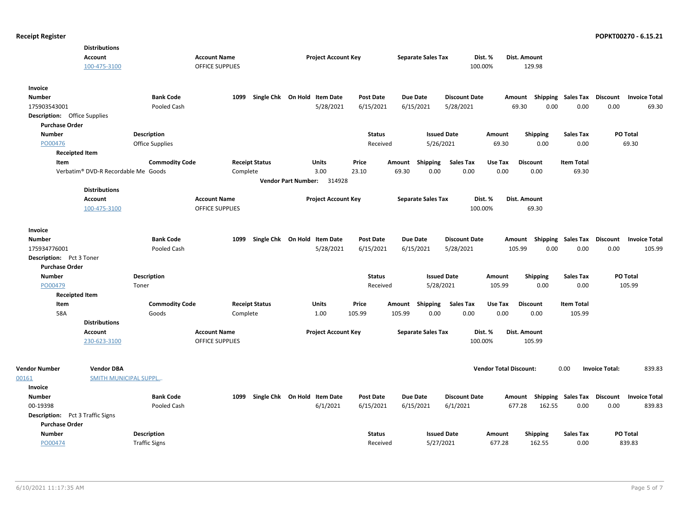| <b>Account</b><br><b>Account Name</b><br><b>Project Account Key</b><br><b>Separate Sales Tax</b><br>Dist. %<br>Dist. Amount<br>100-475-3100<br><b>OFFICE SUPPLIES</b><br>129.98<br>100.00%<br>Invoice<br><b>Number</b><br><b>Bank Code</b><br>Single Chk On Hold Item Date<br><b>Post Date</b><br><b>Due Date</b><br><b>Discount Date</b><br>Shipping Sales Tax<br><b>Discount</b><br>1099<br>Amount<br><b>Invoice Total</b><br>175903543001<br>Pooled Cash<br>5/28/2021<br>6/15/2021<br>6/15/2021<br>5/28/2021<br>69.30<br>0.00<br>0.00<br>0.00<br>69.30<br><b>Description:</b> Office Supplies<br><b>Purchase Order</b><br><b>Number</b><br>Description<br><b>Status</b><br><b>Issued Date</b><br>Shipping<br><b>Sales Tax</b><br>PO Total<br>Amount<br>PO00476<br>Office Supplies<br>5/26/2021<br>69.30<br>0.00<br>0.00<br>69.30<br>Received<br><b>Receipted Item</b><br><b>Sales Tax</b><br><b>Commodity Code</b><br><b>Receipt Status</b><br>Units<br>Price<br>Shipping<br>Use Tax<br><b>Discount</b><br><b>Item Total</b><br>Item<br>Amount<br>Verbatim® DVD-R Recordable Me Goods<br>3.00<br>23.10<br>69.30<br>0.00<br>0.00<br>0.00<br>69.30<br>Complete<br>0.00<br>Vendor Part Number: 314928<br><b>Distributions</b><br>Account<br><b>Account Name</b><br><b>Project Account Key</b><br><b>Separate Sales Tax</b><br>Dist. %<br>Dist. Amount<br><b>OFFICE SUPPLIES</b><br>100-475-3100<br>100.00%<br>69.30<br>Invoice<br>Single Chk On Hold Item Date<br><b>Bank Code</b><br>1099<br><b>Post Date</b><br>Due Date<br><b>Discount Date</b><br><b>Shipping Sales Tax</b><br>Discount<br><b>Invoice Total</b><br><b>Number</b><br>Amount<br>0.00<br>175934776001<br>Pooled Cash<br>5/28/2021<br>6/15/2021<br>6/15/2021<br>5/28/2021<br>105.99<br>0.00<br>0.00<br>105.99<br>Description: Pct 3 Toner<br><b>Purchase Order</b><br><b>Number</b><br>Description<br><b>Status</b><br><b>Issued Date</b><br>Amount<br><b>Shipping</b><br>Sales Tax<br><b>PO Total</b><br>105.99<br>0.00<br>0.00<br>105.99<br>PO00479<br>Toner<br>Received<br>5/28/2021<br><b>Receipted Item</b><br><b>Commodity Code</b><br><b>Receipt Status</b><br><b>Units</b><br>Price<br>Shipping<br><b>Sales Tax</b><br>Use Tax<br><b>Discount</b><br><b>Item Total</b><br>Item<br>Amount<br>58A<br>105.99<br>105.99<br>0.00<br>0.00<br>0.00<br>0.00<br>105.99<br>Goods<br>Complete<br>1.00 |
|--------------------------------------------------------------------------------------------------------------------------------------------------------------------------------------------------------------------------------------------------------------------------------------------------------------------------------------------------------------------------------------------------------------------------------------------------------------------------------------------------------------------------------------------------------------------------------------------------------------------------------------------------------------------------------------------------------------------------------------------------------------------------------------------------------------------------------------------------------------------------------------------------------------------------------------------------------------------------------------------------------------------------------------------------------------------------------------------------------------------------------------------------------------------------------------------------------------------------------------------------------------------------------------------------------------------------------------------------------------------------------------------------------------------------------------------------------------------------------------------------------------------------------------------------------------------------------------------------------------------------------------------------------------------------------------------------------------------------------------------------------------------------------------------------------------------------------------------------------------------------------------------------------------------------------------------------------------------------------------------------------------------------------------------------------------------------------------------------------------------------------------------------------------------------------------------------------------------------------------------------------------------------------------------------------------------------------------------------------------------|
|                                                                                                                                                                                                                                                                                                                                                                                                                                                                                                                                                                                                                                                                                                                                                                                                                                                                                                                                                                                                                                                                                                                                                                                                                                                                                                                                                                                                                                                                                                                                                                                                                                                                                                                                                                                                                                                                                                                                                                                                                                                                                                                                                                                                                                                                                                                                                                    |
|                                                                                                                                                                                                                                                                                                                                                                                                                                                                                                                                                                                                                                                                                                                                                                                                                                                                                                                                                                                                                                                                                                                                                                                                                                                                                                                                                                                                                                                                                                                                                                                                                                                                                                                                                                                                                                                                                                                                                                                                                                                                                                                                                                                                                                                                                                                                                                    |
|                                                                                                                                                                                                                                                                                                                                                                                                                                                                                                                                                                                                                                                                                                                                                                                                                                                                                                                                                                                                                                                                                                                                                                                                                                                                                                                                                                                                                                                                                                                                                                                                                                                                                                                                                                                                                                                                                                                                                                                                                                                                                                                                                                                                                                                                                                                                                                    |
|                                                                                                                                                                                                                                                                                                                                                                                                                                                                                                                                                                                                                                                                                                                                                                                                                                                                                                                                                                                                                                                                                                                                                                                                                                                                                                                                                                                                                                                                                                                                                                                                                                                                                                                                                                                                                                                                                                                                                                                                                                                                                                                                                                                                                                                                                                                                                                    |
|                                                                                                                                                                                                                                                                                                                                                                                                                                                                                                                                                                                                                                                                                                                                                                                                                                                                                                                                                                                                                                                                                                                                                                                                                                                                                                                                                                                                                                                                                                                                                                                                                                                                                                                                                                                                                                                                                                                                                                                                                                                                                                                                                                                                                                                                                                                                                                    |
|                                                                                                                                                                                                                                                                                                                                                                                                                                                                                                                                                                                                                                                                                                                                                                                                                                                                                                                                                                                                                                                                                                                                                                                                                                                                                                                                                                                                                                                                                                                                                                                                                                                                                                                                                                                                                                                                                                                                                                                                                                                                                                                                                                                                                                                                                                                                                                    |
|                                                                                                                                                                                                                                                                                                                                                                                                                                                                                                                                                                                                                                                                                                                                                                                                                                                                                                                                                                                                                                                                                                                                                                                                                                                                                                                                                                                                                                                                                                                                                                                                                                                                                                                                                                                                                                                                                                                                                                                                                                                                                                                                                                                                                                                                                                                                                                    |
|                                                                                                                                                                                                                                                                                                                                                                                                                                                                                                                                                                                                                                                                                                                                                                                                                                                                                                                                                                                                                                                                                                                                                                                                                                                                                                                                                                                                                                                                                                                                                                                                                                                                                                                                                                                                                                                                                                                                                                                                                                                                                                                                                                                                                                                                                                                                                                    |
|                                                                                                                                                                                                                                                                                                                                                                                                                                                                                                                                                                                                                                                                                                                                                                                                                                                                                                                                                                                                                                                                                                                                                                                                                                                                                                                                                                                                                                                                                                                                                                                                                                                                                                                                                                                                                                                                                                                                                                                                                                                                                                                                                                                                                                                                                                                                                                    |
|                                                                                                                                                                                                                                                                                                                                                                                                                                                                                                                                                                                                                                                                                                                                                                                                                                                                                                                                                                                                                                                                                                                                                                                                                                                                                                                                                                                                                                                                                                                                                                                                                                                                                                                                                                                                                                                                                                                                                                                                                                                                                                                                                                                                                                                                                                                                                                    |
|                                                                                                                                                                                                                                                                                                                                                                                                                                                                                                                                                                                                                                                                                                                                                                                                                                                                                                                                                                                                                                                                                                                                                                                                                                                                                                                                                                                                                                                                                                                                                                                                                                                                                                                                                                                                                                                                                                                                                                                                                                                                                                                                                                                                                                                                                                                                                                    |
|                                                                                                                                                                                                                                                                                                                                                                                                                                                                                                                                                                                                                                                                                                                                                                                                                                                                                                                                                                                                                                                                                                                                                                                                                                                                                                                                                                                                                                                                                                                                                                                                                                                                                                                                                                                                                                                                                                                                                                                                                                                                                                                                                                                                                                                                                                                                                                    |
|                                                                                                                                                                                                                                                                                                                                                                                                                                                                                                                                                                                                                                                                                                                                                                                                                                                                                                                                                                                                                                                                                                                                                                                                                                                                                                                                                                                                                                                                                                                                                                                                                                                                                                                                                                                                                                                                                                                                                                                                                                                                                                                                                                                                                                                                                                                                                                    |
|                                                                                                                                                                                                                                                                                                                                                                                                                                                                                                                                                                                                                                                                                                                                                                                                                                                                                                                                                                                                                                                                                                                                                                                                                                                                                                                                                                                                                                                                                                                                                                                                                                                                                                                                                                                                                                                                                                                                                                                                                                                                                                                                                                                                                                                                                                                                                                    |
|                                                                                                                                                                                                                                                                                                                                                                                                                                                                                                                                                                                                                                                                                                                                                                                                                                                                                                                                                                                                                                                                                                                                                                                                                                                                                                                                                                                                                                                                                                                                                                                                                                                                                                                                                                                                                                                                                                                                                                                                                                                                                                                                                                                                                                                                                                                                                                    |
|                                                                                                                                                                                                                                                                                                                                                                                                                                                                                                                                                                                                                                                                                                                                                                                                                                                                                                                                                                                                                                                                                                                                                                                                                                                                                                                                                                                                                                                                                                                                                                                                                                                                                                                                                                                                                                                                                                                                                                                                                                                                                                                                                                                                                                                                                                                                                                    |
|                                                                                                                                                                                                                                                                                                                                                                                                                                                                                                                                                                                                                                                                                                                                                                                                                                                                                                                                                                                                                                                                                                                                                                                                                                                                                                                                                                                                                                                                                                                                                                                                                                                                                                                                                                                                                                                                                                                                                                                                                                                                                                                                                                                                                                                                                                                                                                    |
|                                                                                                                                                                                                                                                                                                                                                                                                                                                                                                                                                                                                                                                                                                                                                                                                                                                                                                                                                                                                                                                                                                                                                                                                                                                                                                                                                                                                                                                                                                                                                                                                                                                                                                                                                                                                                                                                                                                                                                                                                                                                                                                                                                                                                                                                                                                                                                    |
|                                                                                                                                                                                                                                                                                                                                                                                                                                                                                                                                                                                                                                                                                                                                                                                                                                                                                                                                                                                                                                                                                                                                                                                                                                                                                                                                                                                                                                                                                                                                                                                                                                                                                                                                                                                                                                                                                                                                                                                                                                                                                                                                                                                                                                                                                                                                                                    |
|                                                                                                                                                                                                                                                                                                                                                                                                                                                                                                                                                                                                                                                                                                                                                                                                                                                                                                                                                                                                                                                                                                                                                                                                                                                                                                                                                                                                                                                                                                                                                                                                                                                                                                                                                                                                                                                                                                                                                                                                                                                                                                                                                                                                                                                                                                                                                                    |
|                                                                                                                                                                                                                                                                                                                                                                                                                                                                                                                                                                                                                                                                                                                                                                                                                                                                                                                                                                                                                                                                                                                                                                                                                                                                                                                                                                                                                                                                                                                                                                                                                                                                                                                                                                                                                                                                                                                                                                                                                                                                                                                                                                                                                                                                                                                                                                    |
|                                                                                                                                                                                                                                                                                                                                                                                                                                                                                                                                                                                                                                                                                                                                                                                                                                                                                                                                                                                                                                                                                                                                                                                                                                                                                                                                                                                                                                                                                                                                                                                                                                                                                                                                                                                                                                                                                                                                                                                                                                                                                                                                                                                                                                                                                                                                                                    |
|                                                                                                                                                                                                                                                                                                                                                                                                                                                                                                                                                                                                                                                                                                                                                                                                                                                                                                                                                                                                                                                                                                                                                                                                                                                                                                                                                                                                                                                                                                                                                                                                                                                                                                                                                                                                                                                                                                                                                                                                                                                                                                                                                                                                                                                                                                                                                                    |
|                                                                                                                                                                                                                                                                                                                                                                                                                                                                                                                                                                                                                                                                                                                                                                                                                                                                                                                                                                                                                                                                                                                                                                                                                                                                                                                                                                                                                                                                                                                                                                                                                                                                                                                                                                                                                                                                                                                                                                                                                                                                                                                                                                                                                                                                                                                                                                    |
|                                                                                                                                                                                                                                                                                                                                                                                                                                                                                                                                                                                                                                                                                                                                                                                                                                                                                                                                                                                                                                                                                                                                                                                                                                                                                                                                                                                                                                                                                                                                                                                                                                                                                                                                                                                                                                                                                                                                                                                                                                                                                                                                                                                                                                                                                                                                                                    |
|                                                                                                                                                                                                                                                                                                                                                                                                                                                                                                                                                                                                                                                                                                                                                                                                                                                                                                                                                                                                                                                                                                                                                                                                                                                                                                                                                                                                                                                                                                                                                                                                                                                                                                                                                                                                                                                                                                                                                                                                                                                                                                                                                                                                                                                                                                                                                                    |
|                                                                                                                                                                                                                                                                                                                                                                                                                                                                                                                                                                                                                                                                                                                                                                                                                                                                                                                                                                                                                                                                                                                                                                                                                                                                                                                                                                                                                                                                                                                                                                                                                                                                                                                                                                                                                                                                                                                                                                                                                                                                                                                                                                                                                                                                                                                                                                    |
| <b>Distributions</b>                                                                                                                                                                                                                                                                                                                                                                                                                                                                                                                                                                                                                                                                                                                                                                                                                                                                                                                                                                                                                                                                                                                                                                                                                                                                                                                                                                                                                                                                                                                                                                                                                                                                                                                                                                                                                                                                                                                                                                                                                                                                                                                                                                                                                                                                                                                                               |
| Account<br><b>Account Name</b><br><b>Project Account Key</b><br><b>Separate Sales Tax</b><br>Dist. %<br>Dist. Amount                                                                                                                                                                                                                                                                                                                                                                                                                                                                                                                                                                                                                                                                                                                                                                                                                                                                                                                                                                                                                                                                                                                                                                                                                                                                                                                                                                                                                                                                                                                                                                                                                                                                                                                                                                                                                                                                                                                                                                                                                                                                                                                                                                                                                                               |
| <b>OFFICE SUPPLIES</b><br>100.00%<br>105.99<br>230-623-3100                                                                                                                                                                                                                                                                                                                                                                                                                                                                                                                                                                                                                                                                                                                                                                                                                                                                                                                                                                                                                                                                                                                                                                                                                                                                                                                                                                                                                                                                                                                                                                                                                                                                                                                                                                                                                                                                                                                                                                                                                                                                                                                                                                                                                                                                                                        |
| <b>Vendor Number</b><br><b>Vendor DBA</b><br><b>Vendor Total Discount:</b><br>0.00<br><b>Invoice Total:</b><br>839.83                                                                                                                                                                                                                                                                                                                                                                                                                                                                                                                                                                                                                                                                                                                                                                                                                                                                                                                                                                                                                                                                                                                                                                                                                                                                                                                                                                                                                                                                                                                                                                                                                                                                                                                                                                                                                                                                                                                                                                                                                                                                                                                                                                                                                                              |
| <b>SMITH MUNICIPAL SUPPL</b><br>00161                                                                                                                                                                                                                                                                                                                                                                                                                                                                                                                                                                                                                                                                                                                                                                                                                                                                                                                                                                                                                                                                                                                                                                                                                                                                                                                                                                                                                                                                                                                                                                                                                                                                                                                                                                                                                                                                                                                                                                                                                                                                                                                                                                                                                                                                                                                              |
| Invoice                                                                                                                                                                                                                                                                                                                                                                                                                                                                                                                                                                                                                                                                                                                                                                                                                                                                                                                                                                                                                                                                                                                                                                                                                                                                                                                                                                                                                                                                                                                                                                                                                                                                                                                                                                                                                                                                                                                                                                                                                                                                                                                                                                                                                                                                                                                                                            |
| <b>Bank Code</b><br>1099<br>Single Chk On Hold Item Date<br><b>Post Date</b><br>Due Date<br><b>Discount Date</b><br>Amount Shipping Sales Tax<br>Discount<br><b>Invoice Total</b><br><b>Number</b>                                                                                                                                                                                                                                                                                                                                                                                                                                                                                                                                                                                                                                                                                                                                                                                                                                                                                                                                                                                                                                                                                                                                                                                                                                                                                                                                                                                                                                                                                                                                                                                                                                                                                                                                                                                                                                                                                                                                                                                                                                                                                                                                                                 |
| 6/1/2021<br>0.00<br>00-19398<br>Pooled Cash<br>6/15/2021<br>6/15/2021<br>6/1/2021<br>677.28<br>162.55<br>0.00<br>839.83                                                                                                                                                                                                                                                                                                                                                                                                                                                                                                                                                                                                                                                                                                                                                                                                                                                                                                                                                                                                                                                                                                                                                                                                                                                                                                                                                                                                                                                                                                                                                                                                                                                                                                                                                                                                                                                                                                                                                                                                                                                                                                                                                                                                                                            |
| <b>Description:</b> Pct 3 Traffic Signs                                                                                                                                                                                                                                                                                                                                                                                                                                                                                                                                                                                                                                                                                                                                                                                                                                                                                                                                                                                                                                                                                                                                                                                                                                                                                                                                                                                                                                                                                                                                                                                                                                                                                                                                                                                                                                                                                                                                                                                                                                                                                                                                                                                                                                                                                                                            |
| <b>Purchase Order</b>                                                                                                                                                                                                                                                                                                                                                                                                                                                                                                                                                                                                                                                                                                                                                                                                                                                                                                                                                                                                                                                                                                                                                                                                                                                                                                                                                                                                                                                                                                                                                                                                                                                                                                                                                                                                                                                                                                                                                                                                                                                                                                                                                                                                                                                                                                                                              |
| <b>Number</b><br><b>Description</b><br><b>PO Total</b><br><b>Status</b><br><b>Issued Date</b><br>Amount<br><b>Shipping</b><br>Sales Tax                                                                                                                                                                                                                                                                                                                                                                                                                                                                                                                                                                                                                                                                                                                                                                                                                                                                                                                                                                                                                                                                                                                                                                                                                                                                                                                                                                                                                                                                                                                                                                                                                                                                                                                                                                                                                                                                                                                                                                                                                                                                                                                                                                                                                            |
| 839.83<br>PO00474<br><b>Traffic Signs</b><br>5/27/2021<br>677.28<br>162.55<br>0.00<br>Received                                                                                                                                                                                                                                                                                                                                                                                                                                                                                                                                                                                                                                                                                                                                                                                                                                                                                                                                                                                                                                                                                                                                                                                                                                                                                                                                                                                                                                                                                                                                                                                                                                                                                                                                                                                                                                                                                                                                                                                                                                                                                                                                                                                                                                                                     |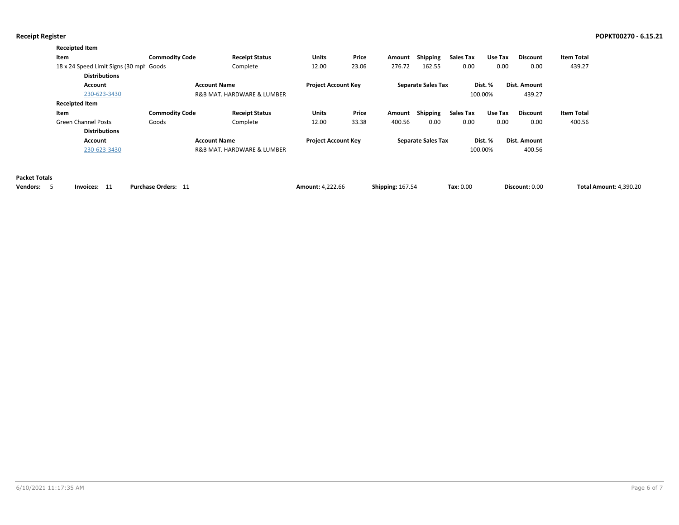| <b>Receipted Item</b>                    |                       |                            |                            |       |        |                           |                  |         |                 |                   |
|------------------------------------------|-----------------------|----------------------------|----------------------------|-------|--------|---------------------------|------------------|---------|-----------------|-------------------|
| Item                                     | <b>Commodity Code</b> | <b>Receipt Status</b>      | <b>Units</b>               | Price | Amount | <b>Shipping</b>           | <b>Sales Tax</b> | Use Tax | <b>Discount</b> | <b>Item Total</b> |
| 18 x 24 Speed Limit Signs (30 mph Goods) |                       | Complete                   | 12.00                      | 23.06 | 276.72 | 162.55                    | 0.00             | 0.00    | 0.00            | 439.27            |
| <b>Distributions</b>                     |                       |                            |                            |       |        |                           |                  |         |                 |                   |
| <b>Account Name</b><br><b>Account</b>    |                       |                            | <b>Project Account Key</b> |       |        | <b>Separate Sales Tax</b> |                  | Dist. % | Dist. Amount    |                   |
| 230-623-3430                             |                       | R&B MAT, HARDWARE & LUMBER |                            |       |        |                           |                  | 100.00% | 439.27          |                   |
| <b>Receipted Item</b>                    |                       |                            |                            |       |        |                           |                  |         |                 |                   |
| Item                                     | <b>Commodity Code</b> | <b>Receipt Status</b>      | <b>Units</b>               | Price | Amount | Shipping                  | <b>Sales Tax</b> | Use Tax | <b>Discount</b> | <b>Item Total</b> |
| <b>Green Channel Posts</b>               | Goods                 | Complete                   | 12.00                      | 33.38 | 400.56 | 0.00                      | 0.00             | 0.00    | 0.00            | 400.56            |
| <b>Distributions</b>                     |                       |                            |                            |       |        |                           |                  |         |                 |                   |
| <b>Account</b>                           |                       | <b>Account Name</b>        | <b>Project Account Key</b> |       |        | <b>Separate Sales Tax</b> |                  | Dist. % | Dist. Amount    |                   |
| 230-623-3430                             |                       | R&B MAT, HARDWARE & LUMBER |                            |       |        |                           |                  | 100.00% | 400.56          |                   |

### **Packet Totals**

| Vendors: | Invoices: $11$ | <b>Purchase Orders:</b> | <b>Amount: 4.222.66</b> | <b>Shipping: 167.54</b> | Tax: 0.00 | Discount: 0.00 | <b>Total Amount: 4.390.20</b> |
|----------|----------------|-------------------------|-------------------------|-------------------------|-----------|----------------|-------------------------------|
|----------|----------------|-------------------------|-------------------------|-------------------------|-----------|----------------|-------------------------------|